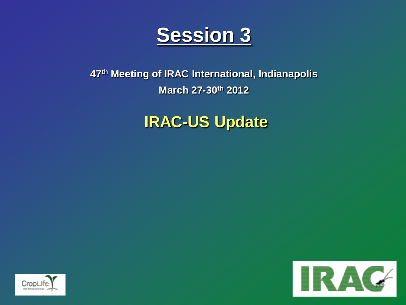

## **47th Meeting of IRAC International, Indianapolis March 27-30th 2012**

## **IRAC-US Update**



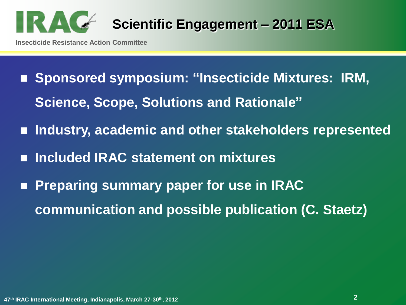

- **Insecticide Resistance Action Committee**
	- Sponsored symposium: "Insecticide Mixtures: IRM, **Science, Scope, Solutions and Rationale"**
	- **Industry, academic and other stakeholders represented**
	- **Included IRAC statement on mixtures**
	- **Preparing summary paper for use in IRAC communication and possible publication (C. Staetz)**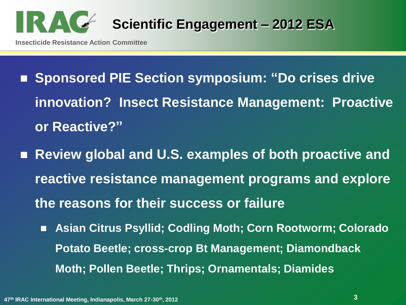

- Sponsored PIE Section symposium: "Do crises drive **innovation? Insect Resistance Management: Proactive or Reactive?"**
- Review global and U.S. examples of both proactive and **reactive resistance management programs and explore the reasons for their success or failure**
	- **Asian Citrus Psyllid; Codling Moth; Corn Rootworm; Colorado Potato Beetle; cross-crop Bt Management; Diamondback Moth; Pollen Beetle; Thrips; Ornamentals; Diamides**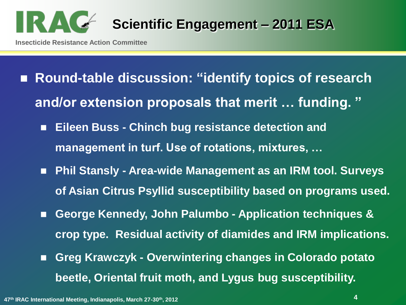

- Round-table discussion: "identify topics of research **and/or extension proposals that merit … funding. "**
	- **Eileen Buss - Chinch bug resistance detection and management in turf. Use of rotations, mixtures, …**
	- Phil Stansly Area-wide Management as an IRM tool. Surveys **of Asian Citrus Psyllid susceptibility based on programs used.**
	- **George Kennedy, John Palumbo - Application techniques & crop type. Residual activity of diamides and IRM implications.**
	- **Greg Krawczyk - Overwintering changes in Colorado potato beetle, Oriental fruit moth, and Lygus bug susceptibility.**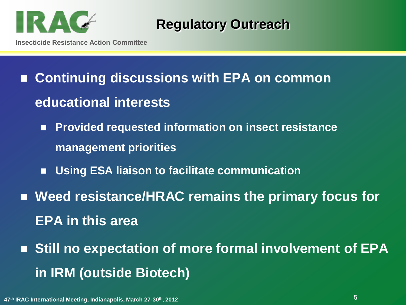

**Regulatory Outreach**

- Continuing discussions with EPA on common **educational interests**
	- **Provided requested information on insect resistance management priorities**
	- **Using ESA liaison to facilitate communication**
- Weed resistance/HRAC remains the primary focus for **EPA in this area**
- Still no expectation of more formal involvement of EPA **in IRM (outside Biotech)**